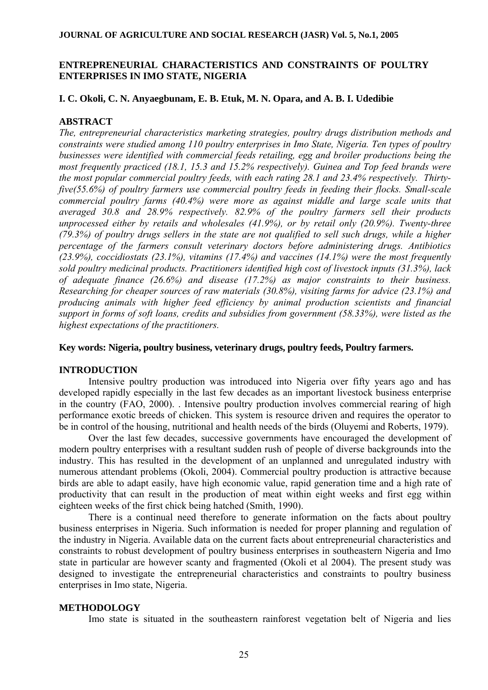## **ENTREPRENEURIAL CHARACTERISTICS AND CONSTRAINTS OF POULTRY ENTERPRISES IN IMO STATE, NIGERIA**

## **I. C. Okoli, C. N. Anyaegbunam, E. B. Etuk, M. N. Opara, and A. B. I. Udedibie**

## **ABSTRACT**

*The, entrepreneurial characteristics marketing strategies, poultry drugs distribution methods and constraints were studied among 110 poultry enterprises in Imo State, Nigeria. Ten types of poultry businesses were identified with commercial feeds retailing, egg and broiler productions being the most frequently practiced (18.1, 15.3 and 15.2% respectively). Guinea and Top feed brands were the most popular commercial poultry feeds, with each rating 28.1 and 23.4% respectively. Thirtyfive(55.6%) of poultry farmers use commercial poultry feeds in feeding their flocks. Small-scale commercial poultry farms (40.4%) were more as against middle and large scale units that averaged 30.8 and 28.9% respectively. 82.9% of the poultry farmers sell their products unprocessed either by retails and wholesales (41.9%), or by retail only (20.9%). Twenty-three (79.3%) of poultry drugs sellers in the state are not qualified to sell such drugs, while a higher percentage of the farmers consult veterinary doctors before administering drugs. Antibiotics (23.9%), coccidiostats (23.1%), vitamins (17.4%) and vaccines (14.1%) were the most frequently sold poultry medicinal products. Practitioners identified high cost of livestock inputs (31.3%), lack of adequate finance (26.6%) and disease (17.2%) as major constraints to their business. Researching for cheaper sources of raw materials (30.8%), visiting farms for advice (23.1%) and producing animals with higher feed efficiency by animal production scientists and financial support in forms of soft loans, credits and subsidies from government (58.33%), were listed as the highest expectations of the practitioners.* 

## **Key words: Nigeria, poultry business, veterinary drugs, poultry feeds, Poultry farmers.**

#### **INTRODUCTION**

Intensive poultry production was introduced into Nigeria over fifty years ago and has developed rapidly especially in the last few decades as an important livestock business enterprise in the country (FAO, 2000). . Intensive poultry production involves commercial rearing of high performance exotic breeds of chicken. This system is resource driven and requires the operator to be in control of the housing, nutritional and health needs of the birds (Oluyemi and Roberts, 1979).

Over the last few decades, successive governments have encouraged the development of modern poultry enterprises with a resultant sudden rush of people of diverse backgrounds into the industry. This has resulted in the development of an unplanned and unregulated industry with numerous attendant problems (Okoli, 2004). Commercial poultry production is attractive because birds are able to adapt easily, have high economic value, rapid generation time and a high rate of productivity that can result in the production of meat within eight weeks and first egg within eighteen weeks of the first chick being hatched (Smith, 1990).

There is a continual need therefore to generate information on the facts about poultry business enterprises in Nigeria. Such information is needed for proper planning and regulation of the industry in Nigeria. Available data on the current facts about entrepreneurial characteristics and constraints to robust development of poultry business enterprises in southeastern Nigeria and Imo state in particular are however scanty and fragmented (Okoli et al 2004). The present study was designed to investigate the entrepreneurial characteristics and constraints to poultry business enterprises in Imo state, Nigeria.

## **METHODOLOGY**

Imo state is situated in the southeastern rainforest vegetation belt of Nigeria and lies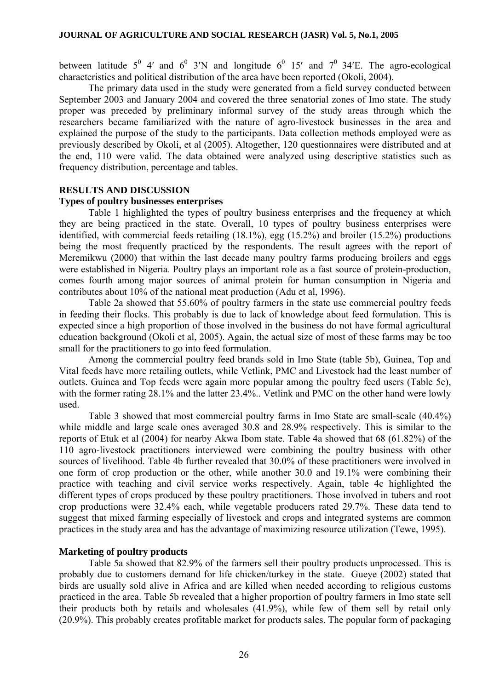between latitude  $5^0$  4' and  $6^0$  3'N and longitude  $6^0$  15' and  $7^0$  34'E. The agro-ecological characteristics and political distribution of the area have been reported (Okoli, 2004).

The primary data used in the study were generated from a field survey conducted between September 2003 and January 2004 and covered the three senatorial zones of Imo state. The study proper was preceded by preliminary informal survey of the study areas through which the researchers became familiarized with the nature of agro-livestock businesses in the area and explained the purpose of the study to the participants. Data collection methods employed were as previously described by Okoli, et al (2005). Altogether, 120 questionnaires were distributed and at the end, 110 were valid. The data obtained were analyzed using descriptive statistics such as frequency distribution, percentage and tables.

## **RESULTS AND DISCUSSION**

### **Types of poultry businesses enterprises**

Table 1 highlighted the types of poultry business enterprises and the frequency at which they are being practiced in the state. Overall, 10 types of poultry business enterprises were identified, with commercial feeds retailing (18.1%), egg (15.2%) and broiler (15.2%) productions being the most frequently practiced by the respondents. The result agrees with the report of Meremikwu (2000) that within the last decade many poultry farms producing broilers and eggs were established in Nigeria. Poultry plays an important role as a fast source of protein-production, comes fourth among major sources of animal protein for human consumption in Nigeria and contributes about 10% of the national meat production (Adu et al, 1996).

 Table 2a showed that 55.60% of poultry farmers in the state use commercial poultry feeds in feeding their flocks. This probably is due to lack of knowledge about feed formulation. This is expected since a high proportion of those involved in the business do not have formal agricultural education background (Okoli et al, 2005). Again, the actual size of most of these farms may be too small for the practitioners to go into feed formulation.

Among the commercial poultry feed brands sold in Imo State (table 5b), Guinea, Top and Vital feeds have more retailing outlets, while Vetlink, PMC and Livestock had the least number of outlets. Guinea and Top feeds were again more popular among the poultry feed users (Table 5c), with the former rating 28.1% and the latter 23.4%.. Vetlink and PMC on the other hand were lowly used.

Table 3 showed that most commercial poultry farms in Imo State are small-scale (40.4%) while middle and large scale ones averaged 30.8 and 28.9% respectively. This is similar to the reports of Etuk et al (2004) for nearby Akwa Ibom state. Table 4a showed that 68 (61.82%) of the 110 agro-livestock practitioners interviewed were combining the poultry business with other sources of livelihood. Table 4b further revealed that 30.0% of these practitioners were involved in one form of crop production or the other, while another 30.0 and 19.1% were combining their practice with teaching and civil service works respectively. Again, table 4c highlighted the different types of crops produced by these poultry practitioners. Those involved in tubers and root crop productions were 32.4% each, while vegetable producers rated 29.7%. These data tend to suggest that mixed farming especially of livestock and crops and integrated systems are common practices in the study area and has the advantage of maximizing resource utilization (Tewe, 1995).

## **Marketing of poultry products**

Table 5a showed that 82.9% of the farmers sell their poultry products unprocessed. This is probably due to customers demand for life chicken/turkey in the state. Gueye (2002) stated that birds are usually sold alive in Africa and are killed when needed according to religious customs practiced in the area. Table 5b revealed that a higher proportion of poultry farmers in Imo state sell their products both by retails and wholesales (41.9%), while few of them sell by retail only (20.9%). This probably creates profitable market for products sales. The popular form of packaging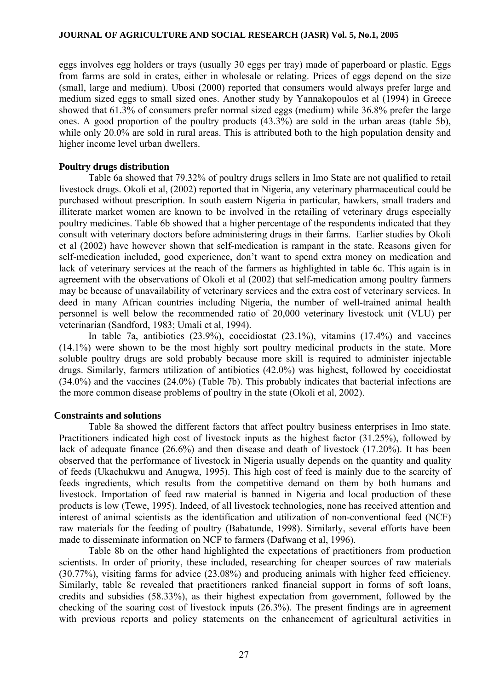eggs involves egg holders or trays (usually 30 eggs per tray) made of paperboard or plastic. Eggs from farms are sold in crates, either in wholesale or relating. Prices of eggs depend on the size (small, large and medium). Ubosi (2000) reported that consumers would always prefer large and medium sized eggs to small sized ones. Another study by Yannakopoulos et al (1994) in Greece showed that 61.3% of consumers prefer normal sized eggs (medium) while 36.8% prefer the large ones. A good proportion of the poultry products (43.3%) are sold in the urban areas (table 5b), while only 20.0% are sold in rural areas. This is attributed both to the high population density and higher income level urban dwellers.

## **Poultry drugs distribution**

Table 6a showed that 79.32% of poultry drugs sellers in Imo State are not qualified to retail livestock drugs. Okoli et al, (2002) reported that in Nigeria, any veterinary pharmaceutical could be purchased without prescription. In south eastern Nigeria in particular, hawkers, small traders and illiterate market women are known to be involved in the retailing of veterinary drugs especially poultry medicines. Table 6b showed that a higher percentage of the respondents indicated that they consult with veterinary doctors before administering drugs in their farms. Earlier studies by Okoli et al (2002) have however shown that self-medication is rampant in the state. Reasons given for self-medication included, good experience, don't want to spend extra money on medication and lack of veterinary services at the reach of the farmers as highlighted in table 6c. This again is in agreement with the observations of Okoli et al (2002) that self-medication among poultry farmers may be because of unavailability of veterinary services and the extra cost of veterinary services. In deed in many African countries including Nigeria, the number of well-trained animal health personnel is well below the recommended ratio of 20,000 veterinary livestock unit (VLU) per veterinarian (Sandford, 1983; Umali et al, 1994).

In table 7a, antibiotics (23.9%), coccidiostat (23.1%), vitamins (17.4%) and vaccines (14.1%) were shown to be the most highly sort poultry medicinal products in the state. More soluble poultry drugs are sold probably because more skill is required to administer injectable drugs. Similarly, farmers utilization of antibiotics (42.0%) was highest, followed by coccidiostat (34.0%) and the vaccines (24.0%) (Table 7b). This probably indicates that bacterial infections are the more common disease problems of poultry in the state (Okoli et al, 2002).

## **Constraints and solutions**

Table 8a showed the different factors that affect poultry business enterprises in Imo state. Practitioners indicated high cost of livestock inputs as the highest factor (31.25%), followed by lack of adequate finance (26.6%) and then disease and death of livestock (17.20%). It has been observed that the performance of livestock in Nigeria usually depends on the quantity and quality of feeds (Ukachukwu and Anugwa, 1995). This high cost of feed is mainly due to the scarcity of feeds ingredients, which results from the competitive demand on them by both humans and livestock. Importation of feed raw material is banned in Nigeria and local production of these products is low (Tewe, 1995). Indeed, of all livestock technologies, none has received attention and interest of animal scientists as the identification and utilization of non-conventional feed (NCF) raw materials for the feeding of poultry (Babatunde, 1998). Similarly, several efforts have been made to disseminate information on NCF to farmers (Dafwang et al, 1996).

Table 8b on the other hand highlighted the expectations of practitioners from production scientists. In order of priority, these included, researching for cheaper sources of raw materials (30.77%), visiting farms for advice (23.08%) and producing animals with higher feed efficiency. Similarly, table 8c revealed that practitioners ranked financial support in forms of soft loans, credits and subsidies (58.33%), as their highest expectation from government, followed by the checking of the soaring cost of livestock inputs (26.3%). The present findings are in agreement with previous reports and policy statements on the enhancement of agricultural activities in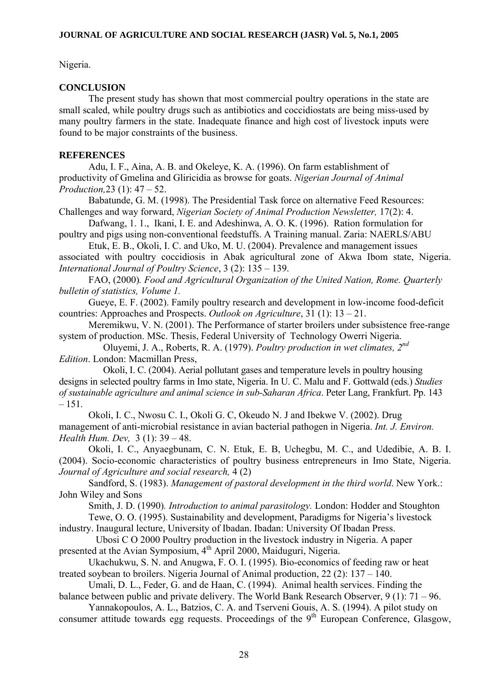Nigeria.

## **CONCLUSION**

The present study has shown that most commercial poultry operations in the state are small scaled, while poultry drugs such as antibiotics and coccidiostats are being miss-used by many poultry farmers in the state. Inadequate finance and high cost of livestock inputs were found to be major constraints of the business.

## **REFERENCES**

Adu, I. F., Aina, A. B. and Okeleye, K. A. (1996). On farm establishment of productivity of Gmelina and Gliricidia as browse for goats. *Nigerian Journal of Animal Production,*23 (1): 47 – 52.

Babatunde, G. M. (1998). The Presidential Task force on alternative Feed Resources: Challenges and way forward, *Nigerian Society of Animal Production Newsletter,* 17(2): 4.

Dafwang, 1. 1., Ikani, I. E. and Adeshinwa, A. O. K. (1996). Ration formulation for poultry and pigs using non-conventional feedstuffs. A Training manual. Zaria: NAERLS/ABU

Etuk, E. B., Okoli, I. C. and Uko, M. U. (2004). Prevalence and management issues associated with poultry coccidiosis in Abak agricultural zone of Akwa Ibom state, Nigeria. *International Journal of Poultry Science*, 3 (2): 135 – 139.

FAO, (2000)*. Food and Agricultural Organization of the United Nation, Rome. Quarterly bulletin of statistics, Volume 1.* 

Gueye, E. F. (2002). Family poultry research and development in low-income food-deficit countries: Approaches and Prospects. *Outlook on Agriculture*, 31 (1): 13 – 21.

Meremikwu, V. N. (2001). The Performance of starter broilers under subsistence free-range system of production. MSc. Thesis, Federal University of Technology Owerri Nigeria.

 Oluyemi, J. A., Roberts, R. A. (1979). *Poultry production in wet climates, 2nd Edition*. London: Macmillan Press,

 Okoli, I. C. (2004). Aerial pollutant gases and temperature levels in poultry housing designs in selected poultry farms in Imo state, Nigeria. In U. C. Malu and F. Gottwald (eds.) *Studies of sustainable agriculture and animal science in sub-Saharan Africa*. Peter Lang, Frankfurt. Pp. 143 – 151.

Okoli, I. C., Nwosu C. I., Okoli G. C, Okeudo N. J and Ibekwe V. (2002). Drug management of anti-microbial resistance in avian bacterial pathogen in Nigeria. *Int. J. Environ. Health Hum. Dev,* 3 (1): 39 – 48.

Okoli, I. C., Anyaegbunam, C. N. Etuk, E. B, Uchegbu, M. C., and Udedibie, A. B. I. (2004). Socio-economic characteristics of poultry business entrepreneurs in Imo State, Nigeria. *Journal of Agriculture and social research,* 4 (2)

Sandford, S. (1983). *Management of pastoral development in the third world*. New York.: John Wiley and Sons

Smith, J. D. (1990)*. Introduction to animal parasitology.* London: Hodder and Stoughton

Tewe, O. O. (1995). Sustainability and development, Paradigms for Nigeria's livestock industry. Inaugural lecture, University of Ibadan. Ibadan: University Of Ibadan Press.

 Ubosi C O 2000 Poultry production in the livestock industry in Nigeria. A paper presented at the Avian Symposium, 4<sup>th</sup> April 2000, Maiduguri, Nigeria.

Ukachukwu, S. N. and Anugwa, F. O. I. (1995). Bio-economics of feeding raw or heat treated soybean to broilers. Nigeria Journal of Animal production, 22 (2): 137 – 140.

Umali, D. L., Feder, G. and de Haan, C. (1994). Animal health services. Finding the balance between public and private delivery. The World Bank Research Observer, 9 (1): 71 – 96.

Yannakopoulos, A. L., Batzios, C. A. and Tserveni Gouis, A. S. (1994). A pilot study on consumer attitude towards egg requests. Proceedings of the  $9<sup>th</sup>$  European Conference, Glasgow,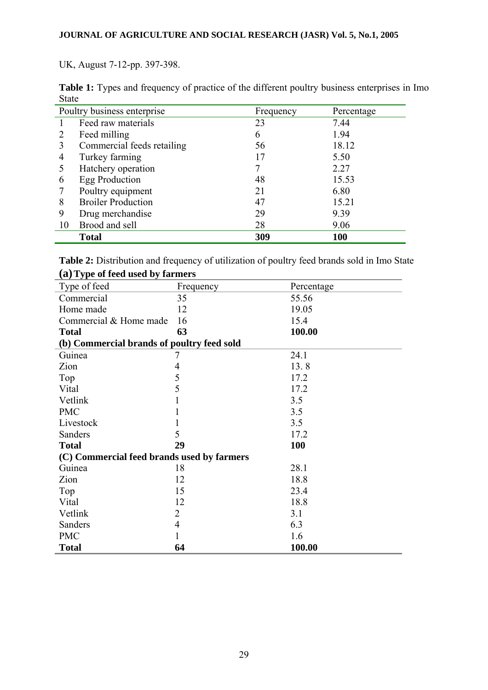UK, August 7-12-pp. 397-398.

|              | <b>Table 1:</b> Types and frequency of practice of the different poultry business enterprises in Imo |  |  |  |  |
|--------------|------------------------------------------------------------------------------------------------------|--|--|--|--|
| <b>State</b> |                                                                                                      |  |  |  |  |

|                | Poultry business enterprise | Frequency | Percentage |
|----------------|-----------------------------|-----------|------------|
|                | Feed raw materials          | 23        | 7.44       |
| 2              | Feed milling                | 6         | 1.94       |
| 3              | Commercial feeds retailing  | 56        | 18.12      |
| $\overline{4}$ | Turkey farming              | 17        | 5.50       |
| 5              | Hatchery operation          | 7         | 2.27       |
| 6              | Egg Production              | 48        | 15.53      |
|                | Poultry equipment           | 21        | 6.80       |
| 8              | <b>Broiler Production</b>   | 47        | 15.21      |
| 9              | Drug merchandise            | 29        | 9.39       |
| 10             | Brood and sell              | 28        | 9.06       |
|                | <b>Total</b>                | 309       | 100        |

| <b>Table 2:</b> Distribution and frequency of utilization of poultry feed brands sold in Imo State |  |  |
|----------------------------------------------------------------------------------------------------|--|--|
| (a) Type of feed used by farmers                                                                   |  |  |

| Type of feed                               | Frequency      | Percentage |
|--------------------------------------------|----------------|------------|
| Commercial                                 | 35             | 55.56      |
| Home made                                  | 12             | 19.05      |
| Commercial & Home made                     | 16             | 15.4       |
| <b>Total</b>                               | 63             | 100.00     |
| (b) Commercial brands of poultry feed sold |                |            |
| Guinea                                     | 7              | 24.1       |
| Zion                                       | $\overline{4}$ | 13.8       |
| Top                                        | 5              | 17.2       |
| Vital                                      | 5              | 17.2       |
| Vetlink                                    |                | 3.5        |
| <b>PMC</b>                                 |                | 3.5        |
| Livestock                                  |                | 3.5        |
| Sanders                                    | 5              | 17.2       |
| <b>Total</b>                               | 29             | <b>100</b> |
| (C) Commercial feed brands used by farmers |                |            |
| Guinea                                     | 18             | 28.1       |
| Zion                                       | 12             | 18.8       |
| Top                                        | 15             | 23.4       |
| Vital                                      | 12             | 18.8       |
| Vetlink                                    | 2              | 3.1        |
| Sanders                                    | $\overline{4}$ | 6.3        |
| <b>PMC</b>                                 | 1              | 1.6        |
| <b>Total</b>                               | 64             | 100.00     |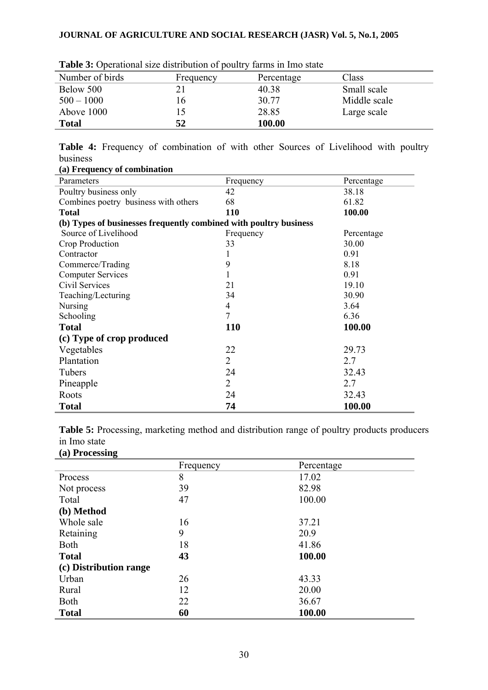| <b>Table 5:</b> Operational size distribution of pounty furths in this state |           |            |              |
|------------------------------------------------------------------------------|-----------|------------|--------------|
| Number of birds                                                              | Frequency | Percentage | Class        |
| Below 500                                                                    |           | 40.38      | Small scale  |
| $500 - 1000$                                                                 |           | 30.77      | Middle scale |
| Above 1000                                                                   |           | 28.85      | Large scale  |
| <b>Total</b>                                                                 | 52        | 100.00     |              |

**Table 3:** Operational size distribution of poultry farms in Imo state

**Table 4:** Frequency of combination of with other Sources of Livelihood with poultry business **(a) Frequency of combination** 

| (a) requency of combination                                       |                |            |
|-------------------------------------------------------------------|----------------|------------|
| Parameters                                                        | Frequency      | Percentage |
| Poultry business only                                             | 42             | 38.18      |
| Combines poetry business with others                              | 68             | 61.82      |
| <b>Total</b>                                                      | 110            | 100.00     |
| (b) Types of businesses frequently combined with poultry business |                |            |
| Source of Livelihood                                              | Frequency      | Percentage |
| Crop Production                                                   | 33             | 30.00      |
| Contractor                                                        |                | 0.91       |
| Commerce/Trading                                                  | 9              | 8.18       |
| <b>Computer Services</b>                                          |                | 0.91       |
| Civil Services                                                    | 21             | 19.10      |
| Teaching/Lecturing                                                | 34             | 30.90      |
| <b>Nursing</b>                                                    | $\overline{4}$ | 3.64       |
| Schooling                                                         | $\overline{7}$ | 6.36       |
| <b>Total</b>                                                      | <b>110</b>     | 100.00     |
| (c) Type of crop produced                                         |                |            |
| Vegetables                                                        | 22             | 29.73      |
| Plantation                                                        | $\overline{2}$ | 2.7        |
| Tubers                                                            | 24             | 32.43      |
| Pineapple                                                         | $\overline{2}$ | 2.7        |
| Roots                                                             | 24             | 32.43      |
| <b>Total</b>                                                      | 74             | 100.00     |

Table 5: Processing, marketing method and distribution range of poultry products producers in Imo state

**(a) Processing** 

| $\overline{\phantom{a}}$<br>o | Frequency | Percentage |
|-------------------------------|-----------|------------|
| Process                       | 8         | 17.02      |
| Not process                   | 39        | 82.98      |
| Total                         | 47        | 100.00     |
| (b) Method                    |           |            |
| Whole sale                    | 16        | 37.21      |
| Retaining                     | 9         | 20.9       |
| <b>Both</b>                   | 18        | 41.86      |
| <b>Total</b>                  | 43        | 100.00     |
| (c) Distribution range        |           |            |
| Urban                         | 26        | 43.33      |
| Rural                         | 12        | 20.00      |
| <b>Both</b>                   | 22        | 36.67      |
| <b>Total</b>                  | 60        | 100.00     |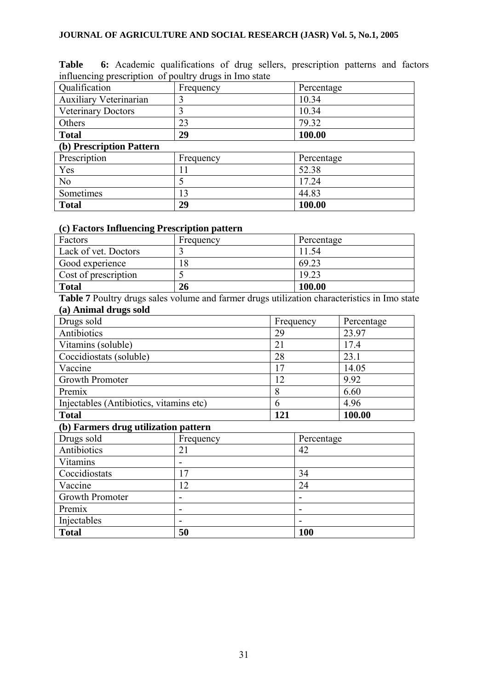| ັ<br>Qualification            | Frequency | Percentage |  |  |
|-------------------------------|-----------|------------|--|--|
| <b>Auxiliary Veterinarian</b> | 3         | 10.34      |  |  |
| <b>Veterinary Doctors</b>     | 3         | 10.34      |  |  |
| Others                        | 23        | 79.32      |  |  |
| <b>Total</b>                  | 29        | 100.00     |  |  |
| (b) Prescription Pattern      |           |            |  |  |
| Prescription                  | Frequency | Percentage |  |  |
| Yes                           |           | 52.38      |  |  |
| N <sub>0</sub>                | 5         | 17.24      |  |  |
| Sometimes                     | 13        | 44.83      |  |  |
| <b>Total</b>                  | 29        | 100.00     |  |  |

**Table 6:** Academic qualifications of drug sellers, prescription patterns and factors influencing prescription of poultry drugs in Imo state

#### **(c) Factors Influencing Prescription pattern**

| Factors              | Frequency | Percentage |
|----------------------|-----------|------------|
| Lack of vet. Doctors |           | 1.54       |
| Good experience      | 8         | 69.23      |
| Cost of prescription |           | 19.23      |
| <b>Total</b>         | 26        | 100.00     |

**Table 7** Poultry drugs sales volume and farmer drugs utilization characteristics in Imo state **(a) Animal drugs sold** 

| Drugs sold                              | Frequency | Percentage |
|-----------------------------------------|-----------|------------|
| Antibiotics                             | 29        | 23.97      |
| Vitamins (soluble)                      | 21        | 17.4       |
| Coccidiostats (soluble)                 | 28        | 23.1       |
| Vaccine                                 | 17        | 14.05      |
| Growth Promoter                         | 12        | 9.92       |
| Premix                                  | 8         | 6.60       |
| Injectables (Antibiotics, vitamins etc) | 6         | 4.96       |
| <b>Total</b>                            | 121       | 100.00     |

## **(b) Farmers drug utilization pattern**

| Drugs sold      | Frequency | Percentage |
|-----------------|-----------|------------|
| Antibiotics     | 21        | 42         |
| Vitamins        |           |            |
| Coccidiostats   | 17        | 34         |
| Vaccine         | 12        | 24         |
| Growth Promoter |           |            |
| Premix          |           |            |
| Injectables     |           |            |
| <b>Total</b>    | 50        | 100        |